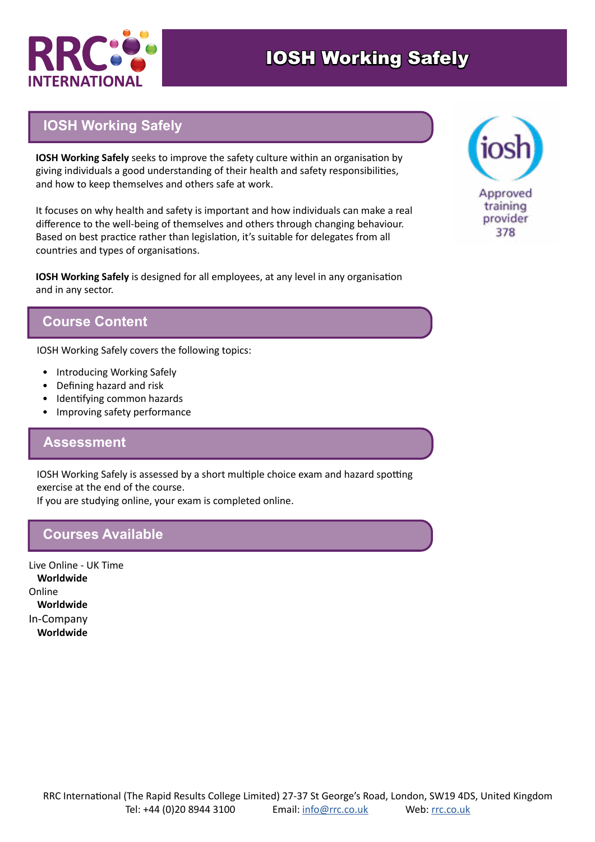

# IOSH Working Safely

# **IOSH Working Safely**

**IOSH Working Safely** seeks to improve the safety culture within an organisation by giving individuals a good understanding of their health and safety responsibilities, and how to keep themselves and others safe at work.

It focuses on why health and safety is important and how individuals can make a real difference to the well-being of themselves and others through changing behaviour. Based on best practice rather than legislation, it's suitable for delegates from all countries and types of organisations.

**IOSH Working Safely** is designed for all employees, at any level in any organisation and in any sector.

## **Course Content**

IOSH Working Safely covers the following topics:

- Introducing Working Safely
- Defining hazard and risk
- Identifying common hazards
- Improving safety performance

#### **Assessment**

IOSH Working Safely is assessed by a short multiple choice exam and hazard spotting exercise at the end of the course.

If you are studying online, your exam is completed online.

### **Courses Available**

Live Online - UK Time **Worldwide** Online **Worldwide** In-Company **Worldwide**